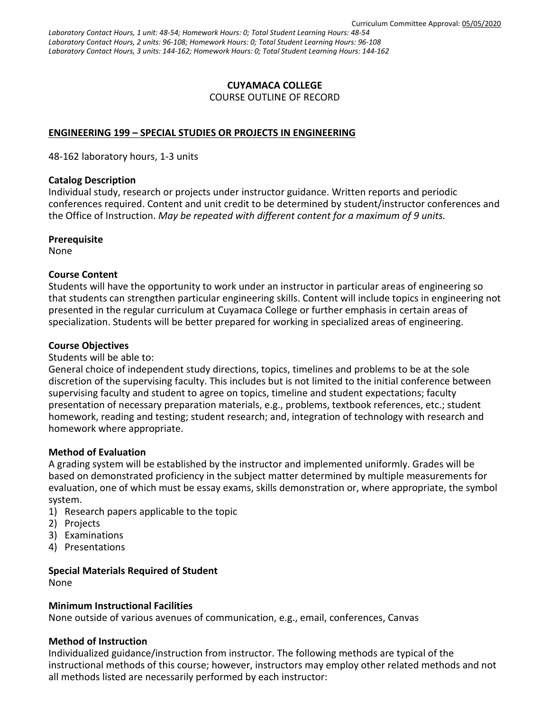*Laboratory Contact Hours, 1 unit: 48-54; Homework Hours: 0; Total Student Learning Hours: 48-54 Laboratory Contact Hours, 2 units: 96-108; Homework Hours: 0; Total Student Learning Hours: 96-108 Laboratory Contact Hours, 3 units: 144-162; Homework Hours: 0; Total Student Learning Hours: 144-162*

#### **CUYAMACA COLLEGE** COURSE OUTLINE OF RECORD

## **ENGINEERING 199 – SPECIAL STUDIES OR PROJECTS IN ENGINEERING**

48-162 laboratory hours, 1-3 units

#### **Catalog Description**

Individual study, research or projects under instructor guidance. Written reports and periodic conferences required. Content and unit credit to be determined by student/instructor conferences and the Office of Instruction. *May be repeated with different content for a maximum of 9 units.*

#### **Prerequisite**

None

## **Course Content**

Students will have the opportunity to work under an instructor in particular areas of engineering so that students can strengthen particular engineering skills. Content will include topics in engineering not presented in the regular curriculum at Cuyamaca College or further emphasis in certain areas of specialization. Students will be better prepared for working in specialized areas of engineering.

## **Course Objectives**

Students will be able to:

General choice of independent study directions, topics, timelines and problems to be at the sole discretion of the supervising faculty. This includes but is not limited to the initial conference between supervising faculty and student to agree on topics, timeline and student expectations; faculty presentation of necessary preparation materials, e.g., problems, textbook references, etc.; student homework, reading and testing; student research; and, integration of technology with research and homework where appropriate.

#### **Method of Evaluation**

A grading system will be established by the instructor and implemented uniformly. Grades will be based on demonstrated proficiency in the subject matter determined by multiple measurements for evaluation, one of which must be essay exams, skills demonstration or, where appropriate, the symbol system.

- 1) Research papers applicable to the topic
- 2) Projects
- 3) Examinations
- 4) Presentations

#### **Special Materials Required of Student**

None

#### **Minimum Instructional Facilities**

None outside of various avenues of communication, e.g., email, conferences, Canvas

#### **Method of Instruction**

Individualized guidance/instruction from instructor. The following methods are typical of the instructional methods of this course; however, instructors may employ other related methods and not all methods listed are necessarily performed by each instructor: